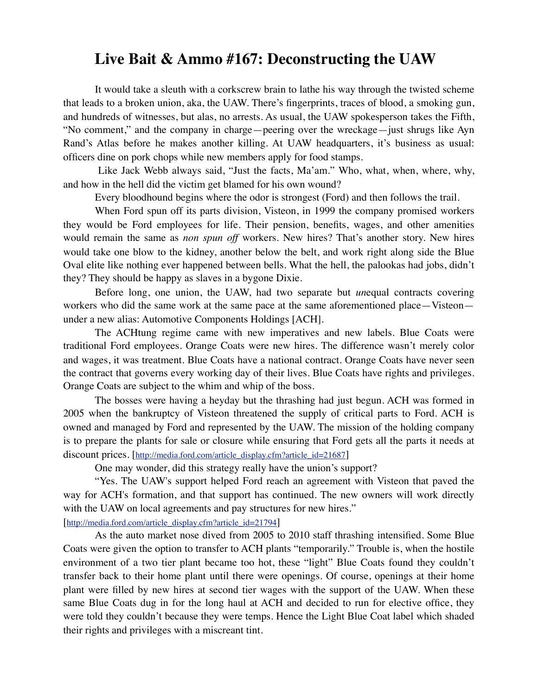## **Live Bait & Ammo #167: Deconstructing the UAW**

It would take a sleuth with a corkscrew brain to lathe his way through the twisted scheme that leads to a broken union, aka, the UAW. There's fingerprints, traces of blood, a smoking gun, and hundreds of witnesses, but alas, no arrests. As usual, the UAW spokesperson takes the Fifth, "No comment," and the company in charge—peering over the wreckage—just shrugs like Ayn Rand's Atlas before he makes another killing. At UAW headquarters, it's business as usual: officers dine on pork chops while new members apply for food stamps.

 Like Jack Webb always said, "Just the facts, Ma'am." Who, what, when, where, why, and how in the hell did the victim get blamed for his own wound?

Every bloodhound begins where the odor is strongest (Ford) and then follows the trail.

When Ford spun off its parts division, Visteon, in 1999 the company promised workers they would be Ford employees for life. Their pension, benefits, wages, and other amenities would remain the same as *non spun off* workers. New hires? That's another story. New hires would take one blow to the kidney, another below the belt, and work right along side the Blue Oval elite like nothing ever happened between bells. What the hell, the palookas had jobs, didn't they? They should be happy as slaves in a bygone Dixie.

Before long, one union, the UAW, had two separate but *un*equal contracts covering workers who did the same work at the same pace at the same aforementioned place—Visteon under a new alias: Automotive Components Holdings [ACH].

The ACHtung regime came with new imperatives and new labels. Blue Coats were traditional Ford employees. Orange Coats were new hires. The difference wasn't merely color and wages, it was treatment. Blue Coats have a national contract. Orange Coats have never seen the contract that governs every working day of their lives. Blue Coats have rights and privileges. Orange Coats are subject to the whim and whip of the boss.

The bosses were having a heyday but the thrashing had just begun. ACH was formed in 2005 when the bankruptcy of Visteon threatened the supply of critical parts to Ford. ACH is owned and managed by Ford and represented by the UAW. The mission of the holding company is to prepare the plants for sale or closure while ensuring that Ford gets all the parts it needs at discount prices. [\[http://media.ford.com/article\\_display.cfm?article\\_id=21687](http://media.ford.com/article_display.cfm?article_id=21687)]

One may wonder, did this strategy really have the union's support?

"Yes. The UAW's support helped Ford reach an agreement with Visteon that paved the way for ACH's formation, and that support has continued. The new owners will work directly with the UAW on local agreements and pay structures for new hires."

[[http://media.ford.com/article\\_display.cfm?article\\_id=21794](http://media.ford.com/article_display.cfm?article_id=21794)]

As the auto market nose dived from 2005 to 2010 staff thrashing intensified. Some Blue Coats were given the option to transfer to ACH plants "temporarily." Trouble is, when the hostile environment of a two tier plant became too hot, these "light" Blue Coats found they couldn't transfer back to their home plant until there were openings. Of course, openings at their home plant were filled by new hires at second tier wages with the support of the UAW. When these same Blue Coats dug in for the long haul at ACH and decided to run for elective office, they were told they couldn't because they were temps. Hence the Light Blue Coat label which shaded their rights and privileges with a miscreant tint.